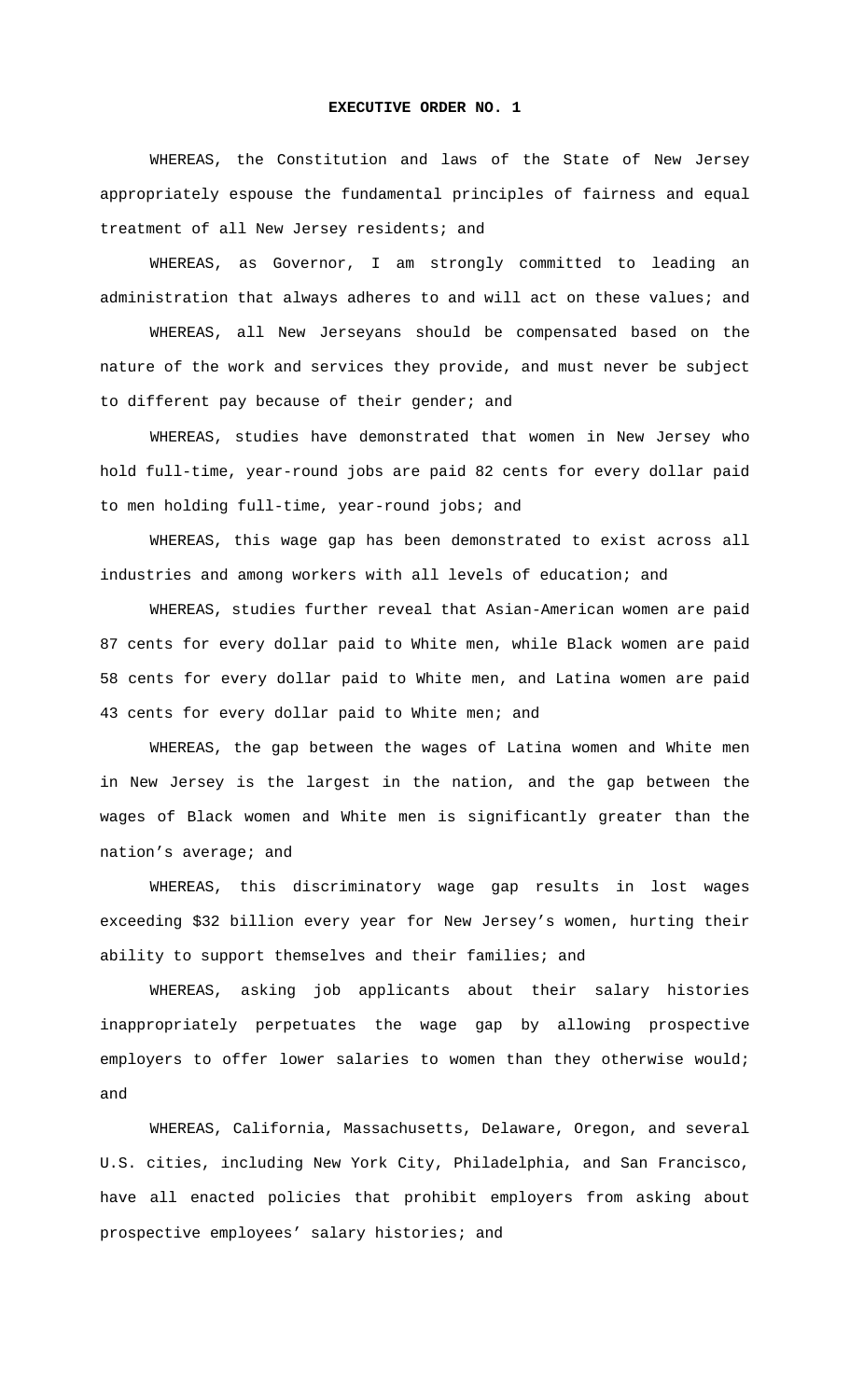## **EXECUTIVE ORDER NO. 1**

WHEREAS, the Constitution and laws of the State of New Jersey appropriately espouse the fundamental principles of fairness and equal treatment of all New Jersey residents; and

WHEREAS, as Governor, I am strongly committed to leading an administration that always adheres to and will act on these values; and

WHEREAS, all New Jerseyans should be compensated based on the nature of the work and services they provide, and must never be subject to different pay because of their gender; and

WHEREAS, studies have demonstrated that women in New Jersey who hold full-time, year-round jobs are paid 82 cents for every dollar paid to men holding full-time, year-round jobs; and

WHEREAS, this wage gap has been demonstrated to exist across all industries and among workers with all levels of education; and

WHEREAS, studies further reveal that Asian-American women are paid 87 cents for every dollar paid to White men, while Black women are paid 58 cents for every dollar paid to White men, and Latina women are paid 43 cents for every dollar paid to White men; and

WHEREAS, the gap between the wages of Latina women and White men in New Jersey is the largest in the nation, and the gap between the wages of Black women and White men is significantly greater than the nation's average; and

WHEREAS, this discriminatory wage gap results in lost wages exceeding \$32 billion every year for New Jersey's women, hurting their ability to support themselves and their families; and

WHEREAS, asking job applicants about their salary histories inappropriately perpetuates the wage gap by allowing prospective employers to offer lower salaries to women than they otherwise would; and

WHEREAS, California, Massachusetts, Delaware, Oregon, and several U.S. cities, including New York City, Philadelphia, and San Francisco, have all enacted policies that prohibit employers from asking about prospective employees' salary histories; and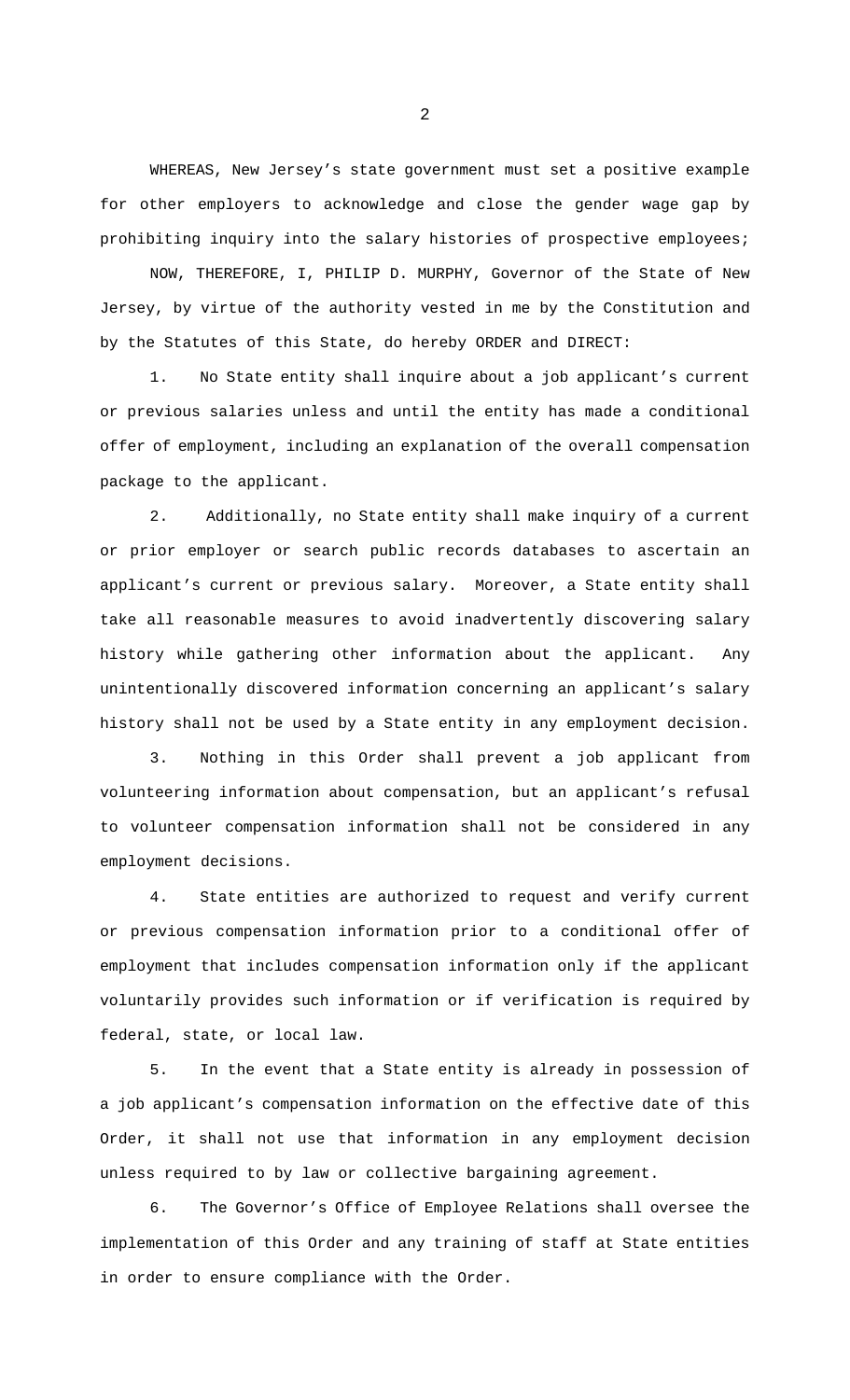WHEREAS, New Jersey's state government must set a positive example for other employers to acknowledge and close the gender wage gap by prohibiting inquiry into the salary histories of prospective employees;

NOW, THEREFORE, I, PHILIP D. MURPHY, Governor of the State of New Jersey, by virtue of the authority vested in me by the Constitution and by the Statutes of this State, do hereby ORDER and DIRECT:

1. No State entity shall inquire about a job applicant's current or previous salaries unless and until the entity has made a conditional offer of employment, including an explanation of the overall compensation package to the applicant.

2. Additionally, no State entity shall make inquiry of a current or prior employer or search public records databases to ascertain an applicant's current or previous salary. Moreover, a State entity shall take all reasonable measures to avoid inadvertently discovering salary history while gathering other information about the applicant. Any unintentionally discovered information concerning an applicant's salary history shall not be used by a State entity in any employment decision.

3. Nothing in this Order shall prevent a job applicant from volunteering information about compensation, but an applicant's refusal to volunteer compensation information shall not be considered in any employment decisions.

4. State entities are authorized to request and verify current or previous compensation information prior to a conditional offer of employment that includes compensation information only if the applicant voluntarily provides such information or if verification is required by federal, state, or local law.

5. In the event that a State entity is already in possession of a job applicant's compensation information on the effective date of this Order, it shall not use that information in any employment decision unless required to by law or collective bargaining agreement.

6. The Governor's Office of Employee Relations shall oversee the implementation of this Order and any training of staff at State entities in order to ensure compliance with the Order.

2